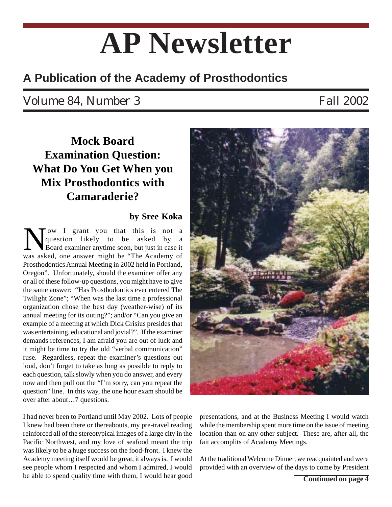# **AP Newsletter**

## **A Publication of the Academy of Prosthodontics**

## Volume 84, Number 3 Fall 2002

## **Mock Board Examination Question: What Do You Get When you Mix Prosthodontics with Camaraderie?**

### **by Sree Koka**

ow I grant you that this is not a question likely to be asked by a Board examiner anytime soon, but just in case it was asked, one answer might be "The Academy of Prosthodontics Annual Meeting in 2002 held in Portland, Oregon". Unfortunately, should the examiner offer any or all of these follow-up questions, you might have to give the same answer: "Has Prosthodontics ever entered The Twilight Zone"; "When was the last time a professional organization chose the best day (weather-wise) of its annual meeting for its outing?"; and/or "Can you give an example of a meeting at which Dick Grisius presides that was entertaining, educational and jovial?". If the examiner demands references, I am afraid you are out of luck and it might be time to try the old "verbal communication" ruse. Regardless, repeat the examiner's questions out loud, don't forget to take as long as possible to reply to each question, talk slowly when you do answer, and every now and then pull out the "I'm sorry, can you repeat the question" line. In this way, the one hour exam should be over after about…7 questions.

I had never been to Portland until May 2002. Lots of people I knew had been there or thereabouts, my pre-travel reading reinforced all of the stereotypical images of a large city in the Pacific Northwest, and my love of seafood meant the trip was likely to be a huge success on the food-front. I knew the Academy meeting itself would be great, it always is. I would see people whom I respected and whom I admired, I would be able to spend quality time with them, I would hear good **Continued on page 4** 



presentations, and at the Business Meeting I would watch while the membership spent more time on the issue of meeting location than on any other subject. These are, after all, the fait accomplits of Academy Meetings.

At the traditional Welcome Dinner, we reacquainted and were provided with an overview of the days to come by President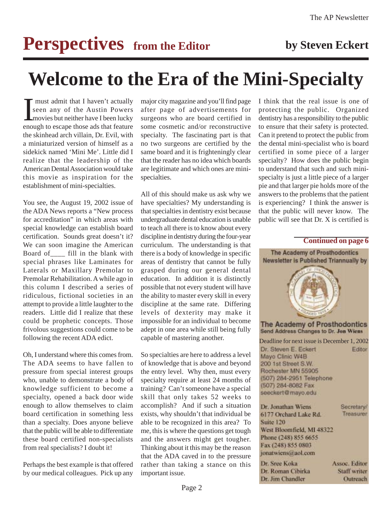# **Perspectives** from the Editor by Steven Eckert

# **Welcome to the Era of the Mini-Specialty**

I must admit that I haven't actually<br>seen any of the Austin Powers<br>movies but neither have I been lucky<br>enough to escape those ads that feature must admit that I haven't actually seen any of the Austin Powers movies but neither have I been lucky the skinhead arch villain, Dr. Evil, with a miniaturized version of himself as a sidekick named 'Mini Me'. Little did I realize that the leadership of the American Dental Association would take this movie as inspiration for the establishment of mini-specialties.

You see, the August 19, 2002 issue of the ADA News reports a "New process for accreditation" in which areas with special knowledge can establish board certification. Sounds great doesn't it? We can soon imagine the American Board of\_\_\_\_ fill in the blank with special phrases like Laminates for Laterals or Maxillary Premolar to Premolar Rehabilitation. A while ago in this column I described a series of ridiculous, fictional societies in an attempt to provide a little laughter to the readers. Little did I realize that these could be prophetic concepts. Those frivolous suggestions could come to be following the recent ADA edict.

Oh, I understand where this comes from. The ADA seems to have fallen to pressure from special interest groups who, unable to demonstrate a body of knowledge sufficient to become a specialty, opened a back door wide enough to allow themselves to claim board certification in something less than a specialty. Does anyone believe that the public will be able to differentiate these board certified non-specialists from real specialists? I doubt it!

Perhaps the best example is that offered by our medical colleagues. Pick up any major city magazine and you'll find page after page of advertisements for surgeons who are board certified in some cosmetic and/or reconstructive specialty. The fascinating part is that no two surgeons are certified by the same board and it is frighteningly clear that the reader has no idea which boards are legitimate and which ones are minispecialties.

All of this should make us ask why we have specialties? My understanding is that specialties in dentistry exist because undergraduate dental education is unable to teach all there is to know about every discipline in dentistry during the four-year curriculum. The understanding is that there is a body of knowledge in specific areas of dentistry that cannot be fully grasped during our general dental education. In addition it is distinctly possible that not every student will have the ability to master every skill in every discipline at the same rate. Differing levels of dexterity may make it impossible for an individual to become adept in one area while still being fully capable of mastering another.

So specialties are here to address a level of knowledge that is above and beyond the entry level. Why then, must every specialty require at least 24 months of training? Can't someone have a special skill that only takes 52 weeks to accomplish? And if such a situation exists, why shouldn't that individual be able to be recognized in this area? To me, this is where the questions get tough and the answers might get tougher. Thinking about it this may be the reason that the ADA caved in to the pressure rather than taking a stance on this important issue.

I think that the real issue is one of protecting the public. Organized dentistry has a responsibility to the public to ensure that their safety is protected. Can it pretend to protect the public from the dental mini-specialist who is board certified in some piece of a larger specialty? How does the public begin to understand that such and such minispecialty is just a little piece of a larger pie and that larger pie holds more of the answers to the problems that the patient is experiencing? I think the answer is that the public will never know. The public will see that Dr. X is certified is

#### **Continued on page 6**

The Academy of Prosthodontics Newsletter is Published Triannually by The Academy of Prosthodontics Send Address Changes to Dr. Jon Wiens Deadline for next issue is December 1, 2002 Dr. Steven E. Eckert Editor Mayo Clinic W4B 200 1st Street S.W. Rochester MN 55905 (507) 284-2951 Telephone (507) 284-8082 Fax seeckert@mayo.edu

| Dr. Jonathan Wiens        | <b>PECLEIBLA</b> |
|---------------------------|------------------|
| 6177 Orchard Lake Rd.     | Treasurer        |
| Suite 120                 |                  |
| West Bloomfield, MI 48322 |                  |
| Phone (248) 855 6655      |                  |
| Fax (248) 855 0803        |                  |
| jonatwiens@aol.com        |                  |
| Dr. Sree Koka             | Assoc. Editor    |
| Dr. Roman Cibirka         | Staff writer     |
| Dr. Jim Chandler          | Outreach         |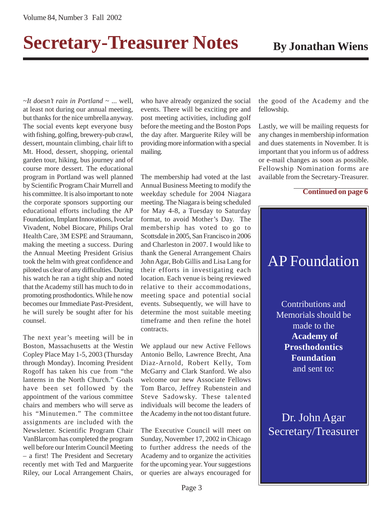# **Secretary-Treasurer Notes** By Jonathan Wiens

*~It doesn't rain in Portland* ~ ... well, at least not during our annual meeting, but thanks for the nice umbrella anyway. The social events kept everyone busy with fishing, golfing, brewery-pub crawl, dessert, mountain climbing, chair lift to Mt. Hood, dessert, shopping, oriental garden tour, hiking, bus journey and of course more dessert. The educational program in Portland was well planned by Scientific Program Chair Murrell and his committee. It is also important to note the corporate sponsors supporting our educational efforts including the AP Foundation, Implant Innovations, Ivoclar Vivadent, Nobel Biocare, Philips Oral Health Care, 3M ESPE and Straumann, making the meeting a success. During the Annual Meeting President Grisius took the helm with great confidence and piloted us clear of any difficulties. During his watch he ran a tight ship and noted that the Academy still has much to do in promoting prosthodontics. While he now becomes our Immediate Past-President, he will surely be sought after for his counsel.

The next year's meeting will be in Boston, Massachusetts at the Westin Copley Place May 1-5, 2003 (Thursday through Monday). Incoming President Rogoff has taken his cue from "the lanterns in the North Church." Goals have been set followed by the appointment of the various committee chairs and members who will serve as his "Minutemen." The committee assignments are included with the Newsletter. Scientific Program Chair VanBlarcom has completed the program well before our Interim Council Meeting – a first! The President and Secretary recently met with Ted and Marguerite Riley, our Local Arrangement Chairs,

who have already organized the social events. There will be exciting pre and post meeting activities, including golf before the meeting and the Boston Pops the day after. Marguerite Riley will be providing more information with a special mailing.

The membership had voted at the last Annual Business Meeting to modify the weekday schedule for 2004 Niagara meeting. The Niagara is being scheduled for May 4-8, a Tuesday to Saturday format, to avoid Mother's Day. The membership has voted to go to Scottsdale in 2005, San Francisco in 2006 and Charleston in 2007. I would like to thank the General Arrangement Chairs John Agar, Bob Gillis and Lisa Lang for their efforts in investigating each location. Each venue is being reviewed relative to their accommodations, meeting space and potential social events. Subsequently, we will have to determine the most suitable meeting timeframe and then refine the hotel contracts.

We applaud our new Active Fellows Antonio Bello, Lawrence Brecht, Ana Diaz-Arnold, Robert Kelly, Tom McGarry and Clark Stanford. We also welcome our new Associate Fellows Tom Barco, Jeffrey Rubenstein and Steve Sadowsky. These talented individuals will become the leaders of the Academy in the not too distant future.

The Executive Council will meet on Sunday, November 17, 2002 in Chicago to further address the needs of the Academy and to organize the activities for the upcoming year. Your suggestions or queries are always encouraged for the good of the Academy and the fellowship.

Lastly, we will be mailing requests for any changes in membership information and dues statements in November. It is important that you inform us of address or e-mail changes as soon as possible. Fellowship Nomination forms are available from the Secretary-Treasurer.

#### **Continued on page 6**

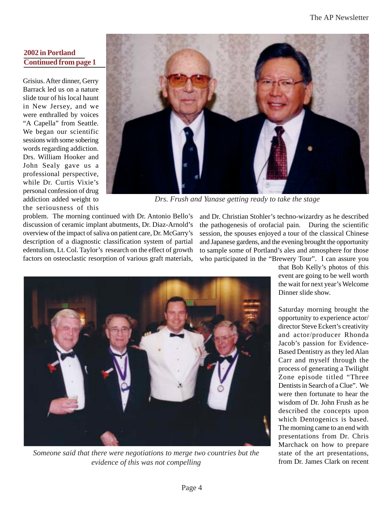### **2002 in Portland Continued from page 1**

Grisius. After dinner, Gerry Barrack led us on a nature slide tour of his local haunt in New Jersey, and we were enthralled by voices "A Capella" from Seattle. We began our scientific sessions with some sobering words regarding addiction. Drs. William Hooker and John Sealy gave us a professional perspective, while Dr. Curtis Vixie's personal confession of drug addiction added weight to the seriousness of this



*Drs. Frush and Yanase getting ready to take the stage*

problem. The morning continued with Dr. Antonio Bello's discussion of ceramic implant abutments, Dr. Diaz-Arnold's overview of the impact of saliva on patient care, Dr. McGarry's description of a diagnostic classification system of partial edentulism, Lt. Col. Taylor's research on the effect of growth factors on osteoclastic resorption of various graft materials,

and Dr. Christian Stohler's techno-wizardry as he described the pathogenesis of orofacial pain. During the scientific session, the spouses enjoyed a tour of the classical Chinese and Japanese gardens, and the evening brought the opportunity to sample some of Portland's ales and atmosphere for those who participated in the "Brewery Tour". I can assure you



*Someone said that there were negotiations to merge two countries but the evidence of this was not compelling*

that Bob Kelly's photos of this event are going to be well worth the wait for next year's Welcome Dinner slide show.

Saturday morning brought the opportunity to experience actor/ director Steve Eckert's creativity and actor/producer Rhonda Jacob's passion for Evidence-Based Dentistry as they led Alan Carr and myself through the process of generating a Twilight Zone episode titled "Three Dentists in Search of a Clue". We were then fortunate to hear the wisdom of Dr. John Frush as he described the concepts upon which Dentogenics is based. The morning came to an end with presentations from Dr. Chris Marchack on how to prepare state of the art presentations, from Dr. James Clark on recent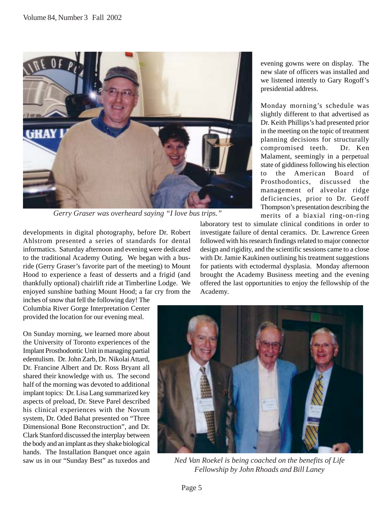

*Gerry Graser was overheard saying "I love bus trips."*

developments in digital photography, before Dr. Robert Ahlstrom presented a series of standards for dental informatics. Saturday afternoon and evening were dedicated to the traditional Academy Outing. We began with a busride (Gerry Graser's favorite part of the meeting) to Mount Hood to experience a feast of desserts and a frigid (and thankfully optional) chairlift ride at Timberline Lodge. We enjoyed sunshine bathing Mount Hood; a far cry from the

inches of snow that fell the following day! The Columbia River Gorge Interpretation Center provided the location for our evening meal.

On Sunday morning, we learned more about the University of Toronto experiences of the Implant Prosthodontic Unit in managing partial edentulism. Dr. John Zarb, Dr. Nikolai Attard, Dr. Francine Albert and Dr. Ross Bryant all shared their knowledge with us. The second half of the morning was devoted to additional implant topics: Dr. Lisa Lang summarized key aspects of preload, Dr. Steve Parel described his clinical experiences with the Novum system, Dr. Oded Bahat presented on "Three Dimensional Bone Reconstruction", and Dr. Clark Stanford discussed the interplay between the body and an implant as they shake biological hands. The Installation Banquet once again saw us in our "Sunday Best" as tuxedos and

evening gowns were on display. The new slate of officers was installed and we listened intently to Gary Rogoff's presidential address.

Monday morning's schedule was slightly different to that advertised as Dr. Keith Phillips's had presented prior in the meeting on the topic of treatment planning decisions for structurally compromised teeth. Dr. Ken Malament, seemingly in a perpetual state of giddiness following his election to the American Board of Prosthodontics, discussed the management of alveolar ridge deficiencies, prior to Dr. Geoff Thompson's presentation describing the merits of a biaxial ring-on-ring

laboratory test to simulate clinical conditions in order to investigate failure of dental ceramics. Dr. Lawrence Green followed with his research findings related to major connector design and rigidity, and the scientific sessions came to a close with Dr. Jamie Kaukinen outlining his treatment suggestions for patients with ectodermal dysplasia. Monday afternoon brought the Academy Business meeting and the evening offered the last opportunities to enjoy the fellowship of the Academy.



*Ned Van Roekel is being coached on the benefits of Life Fellowship by John Rhoads and Bill Laney*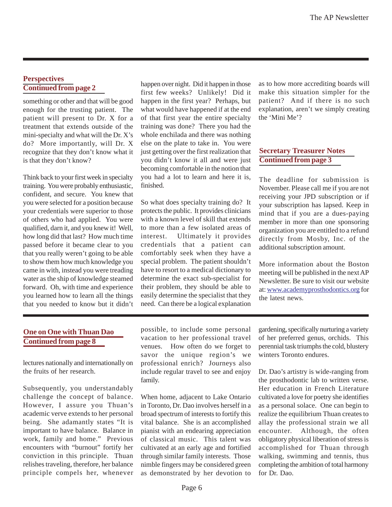#### **Perspectives Continued from page 2**

something or other and that will be good enough for the trusting patient. The patient will present to Dr. X for a treatment that extends outside of the mini-specialty and what will the Dr. X's do? More importantly, will Dr. X recognize that they don't know what it is that they don't know?

Think back to your first week in specialty training. You were probably enthusiastic, confident, and secure. You knew that you were selected for a position because your credentials were superior to those of others who had applied. You were qualified, darn it, and you knew it! Well, how long did that last? How much time passed before it became clear to you that you really weren't going to be able to show them how much knowledge you came in with, instead you were treading water as the ship of knowledge steamed forward. Oh, with time and experience you learned how to learn all the things that you needed to know but it didn't happen over night. Did it happen in those first few weeks? Unlikely! Did it happen in the first year? Perhaps, but what would have happened if at the end of that first year the entire specialty training was done? There you had the whole enchilada and there was nothing else on the plate to take in. You were just getting over the first realization that you didn't know it all and were just becoming comfortable in the notion that you had a lot to learn and here it is, finished.

So what does specialty training do? It protects the public. It provides clinicians with a known level of skill that extends to more than a few isolated areas of interest. Ultimately it provides credentials that a patient can comfortably seek when they have a special problem. The patient shouldn't have to resort to a medical dictionary to determine the exact sub-specialist for their problem, they should be able to easily determine the specialist that they need. Can there be a logical explanation as to how more accrediting boards will make this situation simpler for the patient? And if there is no such explanation, aren't we simply creating the 'Mini Me'?

#### **Secretary Treasurer Notes Continued from page 3**

The deadline for submission is November. Please call me if you are not receiving your JPD subscription or if your subscription has lapsed. Keep in mind that if you are a dues-paying member in more than one sponsoring organization you are entitled to a refund directly from Mosby, Inc. of the additional subscription amount.

More information about the Boston meeting will be published in the next AP Newsletter. Be sure to visit our website at: www.academyprosthodontics.org for the latest news.

#### **One on One with Thuan Dao Continued from page 8**

lectures nationally and internationally on the fruits of her research.

Subsequently, you understandably challenge the concept of balance. However, I assure you Thuan's academic verve extends to her personal being. She adamantly states "It is important to have balance. Balance in work, family and home." Previous encounters with "burnout" fortify her conviction in this principle. Thuan relishes traveling, therefore, her balance principle compels her, whenever possible, to include some personal vacation to her professional travel venues. How often do we forget to savor the unique region's we professional enrich? Journeys also include regular travel to see and enjoy family.

When home, adjacent to Lake Ontario in Toronto, Dr. Dao involves herself in a broad spectrum of interests to fortify this vital balance. She is an accomplished pianist with an endearing appreciation of classical music. This talent was cultivated at an early age and fortified through similar family interests. Those nimble fingers may be considered green as demonstrated by her devotion to

gardening, specifically nurturing a variety of her preferred genus, orchids. This perennial task triumphs the cold, blustery winters Toronto endures.

Dr. Dao's artistry is wide-ranging from the prosthodontic lab to written verse. Her education in French Literature cultivated a love for poetry she identifies as a personal solace. One can begin to realize the equilibrium Thuan creates to allay the professional strain we all encounter. Although, the often obligatory physical liberation of stress is accomplished for Thuan through walking, swimming and tennis, thus completing the ambition of total harmony for Dr. Dao.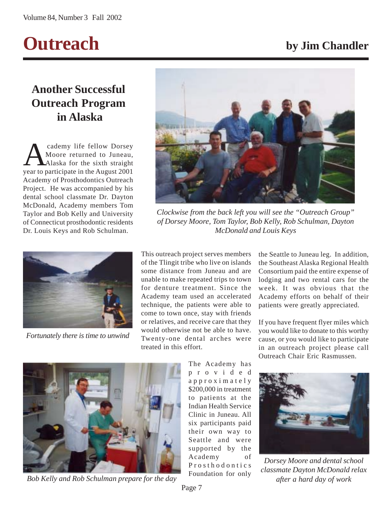

## **Another Successful Outreach Program in Alaska**

Cademy life fellow Dorsey<br>Moore returned to Juneau,<br>Alaska for the sixth straight Moore returned to Juneau, Alaska for the sixth straight year to participate in the August 2001 Academy of Prosthodontics Outreach Project. He was accompanied by his dental school classmate Dr. Dayton McDonald, Academy members Tom Taylor and Bob Kelly and University of Connecticut prosthodontic residents Dr. Louis Keys and Rob Schulman.



*Fortunately there is time to unwind*



*Clockwise from the back left you will see the "Outreach Group" of Dorsey Moore, Tom Taylor, Bob Kelly, Rob Schulman, Dayton McDonald and Louis Keys*

This outreach project serves members of the Tlingit tribe who live on islands some distance from Juneau and are unable to make repeated trips to town for denture treatment. Since the Academy team used an accelerated technique, the patients were able to come to town once, stay with friends or relatives, and receive care that they would otherwise not be able to have. Twenty-one dental arches were treated in this effort.

> The Academy has provided approximately \$200,000 in treatment to patients at the Indian Health Service Clinic in Juneau. All six participants paid their own way to Seattle and were supported by the Academy of Prosthodontics Foundation for only

the Seattle to Juneau leg. In addition, the Southeast Alaska Regional Health Consortium paid the entire expense of lodging and two rental cars for the week. It was obvious that the Academy efforts on behalf of their patients were greatly appreciated.

If you have frequent flyer miles which you would like to donate to this worthy cause, or you would like to participate in an outreach project please call Outreach Chair Eric Rasmussen.



*Bob Kelly and Rob Schulman prepare for the day*

*Dorsey Moore and dental school classmate Dayton McDonald relax after a hard day of work*